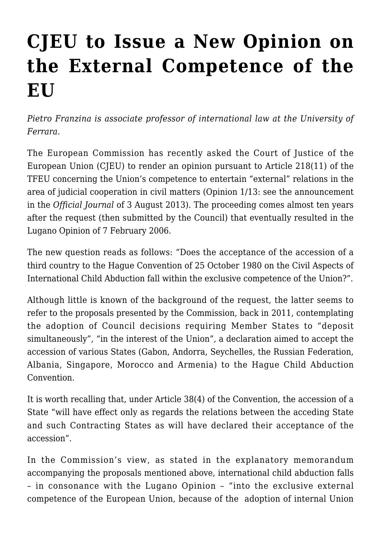## **[CJEU to Issue a New Opinion on](https://conflictoflaws.net/2013/cjeu-to-issue-a-new-opinion-on-the-external-competence-of-the-eu/) [the External Competence of the](https://conflictoflaws.net/2013/cjeu-to-issue-a-new-opinion-on-the-external-competence-of-the-eu/) [EU](https://conflictoflaws.net/2013/cjeu-to-issue-a-new-opinion-on-the-external-competence-of-the-eu/)**

*Pietro Franzina is associate professor of international law at the University of Ferrara.*

The European Commission has recently asked the Court of Justice of the European Union (CJEU) to render an opinion pursuant to Article 218(11) of the TFEU concerning the Union's competence to entertain "external" relations in the area of judicial cooperation in civil matters (Opinion 1/13: see the [announcement](http://eur-lex.europa.eu/LexUriServ/LexUriServ.do?uri=OJ:C:2013:226:0002:0002:en:PDF) in the *Official Journal* of 3 August 2013). The proceeding comes almost ten years after the request (then submitted by the Council) that eventually resulted in the [Lugano Opinion](http://eur-lex.europa.eu/LexUriServ/LexUriServ.do?uri=CELEX:62003CV0001:EN:HTML) of 7 February 2006.

The new question reads as follows: "Does the acceptance of the accession of a third country to the [Hague Convention of 25 October 1980 on the Civil Aspects of](http://www.hcch.net/index_en.php?act=conventions.text&cid=24) [International Child Abduction](http://www.hcch.net/index_en.php?act=conventions.text&cid=24) fall within the exclusive competence of the Union?".

Although little is known of the background of the request, the latter seems to refer to the proposals presented by the Commission, back in 2011, contemplating the adoption of Council decisions requiring Member States to "deposit simultaneously", "in the interest of the Union", a declaration aimed to accept the accession of various States [\(Gabon](http://eur-lex.europa.eu/LexUriServ/LexUriServ.do?uri=COM:2011:0904:FIN:EN:PDF), [Andorra,](http://eur-lex.europa.eu/LexUriServ/LexUriServ.do?uri=COM:2011:0908:FIN:EN:PDF) [Seychelles,](http://eur-lex.europa.eu/LexUriServ/LexUriServ.do?uri=COM:2011:0909:FIN:EN:PDF) the [Russian Federation,](http://eur-lex.europa.eu/LexUriServ/LexUriServ.do?uri=COM:2011:0911:FIN:EN:PDF) [Albania](http://eur-lex.europa.eu/LexUriServ/LexUriServ.do?uri=COM:2011:0912:FIN:EN:PDF), [Singapore](http://eur-lex.europa.eu/LexUriServ/LexUriServ.do?uri=COM:2011:0915:FIN:EN:PDF), [Morocco](http://eur-lex.europa.eu/LexUriServ/LexUriServ.do?uri=COM:2011:0916:FIN:EN:PDF) and [Armenia](http://eur-lex.europa.eu/LexUriServ/LexUriServ.do?uri=COM:2011:0917:FIN:EN:PDF)) to the Hague Child Abduction Convention.

It is worth recalling that, under Article 38(4) of the Convention, the accession of a State "will have effect only as regards the relations between the acceding State and such Contracting States as will have declared their acceptance of the accession".

In the Commission's view, as stated in the explanatory memorandum accompanying the proposals mentioned above, international child abduction falls – in consonance with the Lugano Opinion – "into the exclusive external competence of the European Union, because of the adoption of internal Union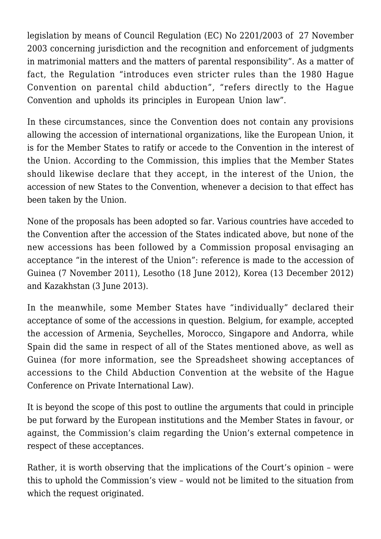legislation by means of Council Regulation (EC) No 2201/2003 of 27 November 2003 concerning jurisdiction and the recognition and enforcement of judgments in matrimonial matters and the matters of parental responsibility". As a matter of fact, the Regulation "introduces even stricter rules than the 1980 Hague Convention on parental child abduction", "refers directly to the Hague Convention and upholds its principles in European Union law".

In these circumstances, since the Convention does not contain any provisions allowing the accession of international organizations, like the European Union, it is for the Member States to ratify or accede to the Convention in the interest of the Union. According to the Commission, this implies that the Member States should likewise declare that they accept, in the interest of the Union, the accession of new States to the Convention, whenever a decision to that effect has been taken by the Union.

None of the proposals has been adopted so far. Various countries have acceded to the Convention after the accession of the States indicated above, but none of the new accessions has been followed by a Commission proposal envisaging an acceptance "in the interest of the Union": reference is made to the accession of Guinea (7 November 2011), Lesotho (18 June 2012), Korea (13 December 2012) and Kazakhstan (3 June 2013).

In the meanwhile, some Member States have "individually" declared their acceptance of some of the accessions in question. Belgium, for example, accepted the accession of Armenia, Seychelles, Morocco, Singapore and Andorra, while Spain did the same in respect of all of the States mentioned above, as well as Guinea (for more information, see the [Spreadsheet showing acceptances of](http://www.hcch.net/upload/abductoverview_e.pdf) [accessions to the Child Abduction Convention](http://www.hcch.net/upload/abductoverview_e.pdf) at the website of the Hague Conference on Private International Law).

It is beyond the scope of this post to outline the arguments that could in principle be put forward by the European institutions and the Member States in favour, or against, the Commission's claim regarding the Union's external competence in respect of these acceptances.

Rather, it is worth observing that the implications of the Court's opinion – were this to uphold the Commission's view – would not be limited to the situation from which the request originated.